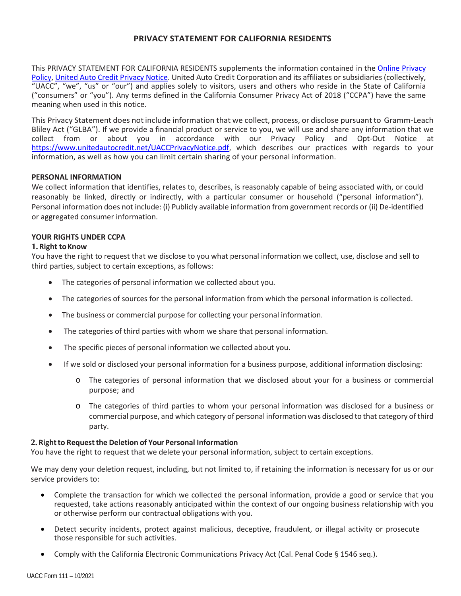# **PRIVACY STATEMENT FOR CALIFORNIA RESIDENTS**

This PRIVACY STATEMENT FOR CALIFORNIA RESIDENTS supplements the information contained in th[e Online Privacy](https://www.unitedautocredit.net/OnlinePrivacyPolicy.aspx)  [Policy,](https://www.unitedautocredit.net/OnlinePrivacyPolicy.aspx) [United Auto Credit Privacy Notice.](https://www.unitedautocredit.net/UACCPrivacyNotice.pdf) United Auto Credit Corporation and its affiliates or subsidiaries (collectively, "UACC", "we", "us" or "our") and applies solely to visitors, users and others who reside in the State of California ("consumers" or "you"). Any terms defined in the California Consumer Privacy Act of 2018 ("CCPA") have the same meaning when used in this notice.

This Privacy Statement does not include information that we collect, process, or disclose pursuant to Gramm-Leach Bliley Act ("GLBA"). If we provide a financial product or service to you, we will use and share any information that we collect from or about you in accordance with our Privacy Policy and Opt-Out Notice at [https://www.unitedautocredit.net/UACCPrivacyNotice.pdf,](https://www.unitedautocredit.net/UACCPrivacyNotice.pdf) which describes our practices with regards to your information, as well as how you can limit certain sharing of your personal information.

### **PERSONAL INFORMATION**

We collect information that identifies, relates to, describes, is reasonably capable of being associated with, or could reasonably be linked, directly or indirectly, with a particular consumer or household ("personal information"). Personal information does not include: (i) Publicly available information from government records or (ii) De-identified or aggregated consumer information.

# **YOUR RIGHTS UNDER CCPA**

### **1.Right toKnow**

You have the right to request that we disclose to you what personal information we collect, use, disclose and sell to third parties, subject to certain exceptions, as follows:

- The categories of personal information we collected about you.
- The categories of sources for the personal information from which the personal information is collected.
- The business or commercial purpose for collecting your personal information.
- The categories of third parties with whom we share that personal information.
- The specific pieces of personal information we collected about you.
- If we sold or disclosed your personal information for a business purpose, additional information disclosing:
	- o The categories of personal information that we disclosed about your for a business or commercial purpose; and
	- o The categories of third parties to whom your personal information was disclosed for a business or commercial purpose, and which category of personal information was disclosed to that category of third party.

#### **2.Rightto Requestthe Deletion of Your Personal Information**

You have the right to request that we delete your personal information, subject to certain exceptions.

We may deny your deletion request, including, but not limited to, if retaining the information is necessary for us or our service providers to:

- Complete the transaction for which we collected the personal information, provide a good or service that you requested, take actions reasonably anticipated within the context of our ongoing business relationship with you or otherwise perform our contractual obligations with you.
- Detect security incidents, protect against malicious, deceptive, fraudulent, or illegal activity or prosecute those responsible for such activities.
- Comply with the California Electronic Communications Privacy Act (Cal. Penal Code § 1546 seq.).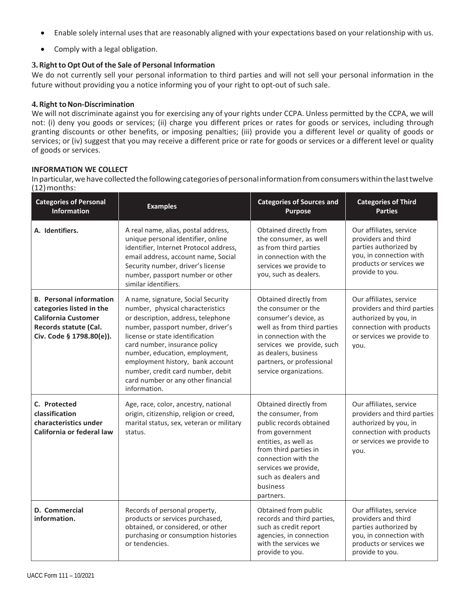- Enable solely internal uses that are reasonably aligned with your expectations based on your relationship with us.
- Comply with a legal obligation.

# **3.Rightto OptOut of the Sale of Personal Information**

We do not currently sell your personal information to third parties and will not sell your personal information in the future without providing you a notice informing you of your right to opt-out of such sale.

### **4.** Right to Non-Discrimination

We will not discriminate against you for exercising any of your rights under CCPA. Unless permitted by the CCPA, we will not: (i) deny you goods or services; (ii) charge you different prices or rates for goods or services, including through granting discounts or other benefits, or imposing penalties; (iii) provide you a different level or quality of goods or services; or (iv) suggest that you may receive a different price or rate for goods or services or a different level or quality of goods or services.

### **INFORMATION WE COLLECT**

Inparticular,wehavecollectedthefollowingcategoriesofpersonalinformationfromconsumerswithinthelasttwelve (12)months:

| <b>Categories of Personal</b><br>Information                                                                                                  | <b>Examples</b>                                                                                                                                                                                                                                                                                                                                                                        | <b>Categories of Sources and</b><br><b>Purpose</b>                                                                                                                                                                                         | <b>Categories of Third</b><br><b>Parties</b>                                                                                                     |  |
|-----------------------------------------------------------------------------------------------------------------------------------------------|----------------------------------------------------------------------------------------------------------------------------------------------------------------------------------------------------------------------------------------------------------------------------------------------------------------------------------------------------------------------------------------|--------------------------------------------------------------------------------------------------------------------------------------------------------------------------------------------------------------------------------------------|--------------------------------------------------------------------------------------------------------------------------------------------------|--|
| A. Identifiers.                                                                                                                               | A real name, alias, postal address,<br>unique personal identifier, online<br>identifier, Internet Protocol address,<br>email address, account name, Social<br>Security number, driver's license<br>number, passport number or other<br>similar identifiers.                                                                                                                            | Obtained directly from<br>the consumer, as well<br>as from third parties<br>in connection with the<br>services we provide to<br>you, such as dealers.                                                                                      | Our affiliates, service<br>providers and third<br>parties authorized by<br>you, in connection with<br>products or services we<br>provide to you. |  |
| <b>B.</b> Personal information<br>categories listed in the<br><b>California Customer</b><br>Records statute (Cal.<br>Civ. Code § 1798.80(e)). | A name, signature, Social Security<br>number, physical characteristics<br>or description, address, telephone<br>number, passport number, driver's<br>license or state identification<br>card number, insurance policy<br>number, education, employment,<br>employment history, bank account<br>number, credit card number, debit<br>card number or any other financial<br>information. | Obtained directly from<br>the consumer or the<br>consumer's device, as<br>well as from third parties<br>in connection with the<br>services we provide, such<br>as dealers, business<br>partners, or professional<br>service organizations. | Our affiliates, service<br>providers and third parties<br>authorized by you, in<br>connection with products<br>or services we provide to<br>you. |  |
| C. Protected<br>classification<br>characteristics under<br>California or federal law                                                          | Age, race, color, ancestry, national<br>origin, citizenship, religion or creed,<br>marital status, sex, veteran or military<br>status.                                                                                                                                                                                                                                                 | Obtained directly from<br>the consumer, from<br>public records obtained<br>from government<br>entities, as well as<br>from third parties in<br>connection with the<br>services we provide,<br>such as dealers and<br>business<br>partners. | Our affiliates, service<br>providers and third parties<br>authorized by you, in<br>connection with products<br>or services we provide to<br>you. |  |
| D. Commercial<br>information.                                                                                                                 | Records of personal property,<br>products or services purchased,<br>obtained, or considered, or other<br>purchasing or consumption histories<br>or tendencies.                                                                                                                                                                                                                         | Obtained from public<br>records and third parties,<br>such as credit report<br>agencies, in connection<br>with the services we<br>provide to you.                                                                                          | Our affiliates, service<br>providers and third<br>parties authorized by<br>you, in connection with<br>products or services we<br>provide to you. |  |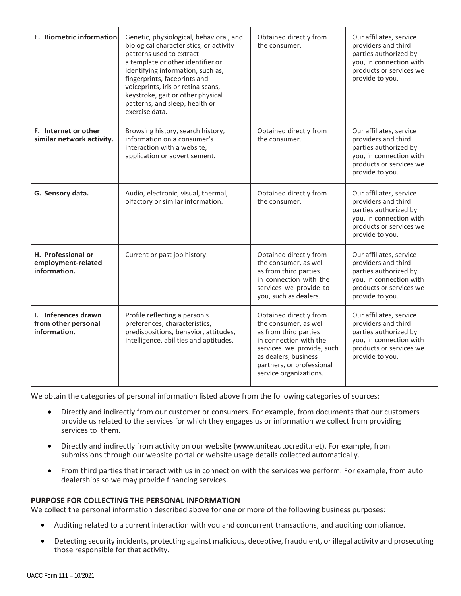| E. Biometric information.                                  | Genetic, physiological, behavioral, and<br>biological characteristics, or activity<br>patterns used to extract<br>a template or other identifier or<br>identifying information, such as,<br>fingerprints, faceprints and<br>voiceprints, iris or retina scans,<br>keystroke, gait or other physical<br>patterns, and sleep, health or<br>exercise data. | Obtained directly from<br>the consumer.                                                                                                                                                                        | Our affiliates, service<br>providers and third<br>parties authorized by<br>you, in connection with<br>products or services we<br>provide to you. |
|------------------------------------------------------------|---------------------------------------------------------------------------------------------------------------------------------------------------------------------------------------------------------------------------------------------------------------------------------------------------------------------------------------------------------|----------------------------------------------------------------------------------------------------------------------------------------------------------------------------------------------------------------|--------------------------------------------------------------------------------------------------------------------------------------------------|
| F. Internet or other<br>similar network activity.          | Browsing history, search history,<br>information on a consumer's<br>interaction with a website,<br>application or advertisement.                                                                                                                                                                                                                        | Obtained directly from<br>the consumer.                                                                                                                                                                        | Our affiliates, service<br>providers and third<br>parties authorized by<br>you, in connection with<br>products or services we<br>provide to you. |
| G. Sensory data.                                           | Audio, electronic, visual, thermal,<br>olfactory or similar information.                                                                                                                                                                                                                                                                                | Obtained directly from<br>the consumer.                                                                                                                                                                        | Our affiliates, service<br>providers and third<br>parties authorized by<br>you, in connection with<br>products or services we<br>provide to you. |
| H. Professional or<br>employment-related<br>information.   | Current or past job history.                                                                                                                                                                                                                                                                                                                            | Obtained directly from<br>the consumer, as well<br>as from third parties<br>in connection with the<br>services we provide to<br>you, such as dealers.                                                          | Our affiliates, service<br>providers and third<br>parties authorized by<br>you, in connection with<br>products or services we<br>provide to you. |
| I. Inferences drawn<br>from other personal<br>information. | Profile reflecting a person's<br>preferences, characteristics,<br>predispositions, behavior, attitudes,<br>intelligence, abilities and aptitudes.                                                                                                                                                                                                       | Obtained directly from<br>the consumer, as well<br>as from third parties<br>in connection with the<br>services we provide, such<br>as dealers, business<br>partners, or professional<br>service organizations. | Our affiliates, service<br>providers and third<br>parties authorized by<br>you, in connection with<br>products or services we<br>provide to you. |

We obtain the categories of personal information listed above from the following categories of sources:

- Directly and indirectly from our customer or consumers. For example, from documents that our customers provide us related to the services for which they engages us or information we collect from providing services to them.
- Directly and indirectly from activity on our website (www.uniteautocredit.net). For example, from submissions through our website portal or website usage details collected automatically.
- From third parties that interact with us in connection with the services we perform. For example, from auto dealerships so we may provide financing services.

#### **PURPOSE FOR COLLECTING THE PERSONAL INFORMATION**

We collect the personal information described above for one or more of the following business purposes:

- Auditing related to a current interaction with you and concurrent transactions, and auditing compliance.
- Detecting security incidents, protecting against malicious, deceptive, fraudulent, or illegal activity and prosecuting those responsible for that activity.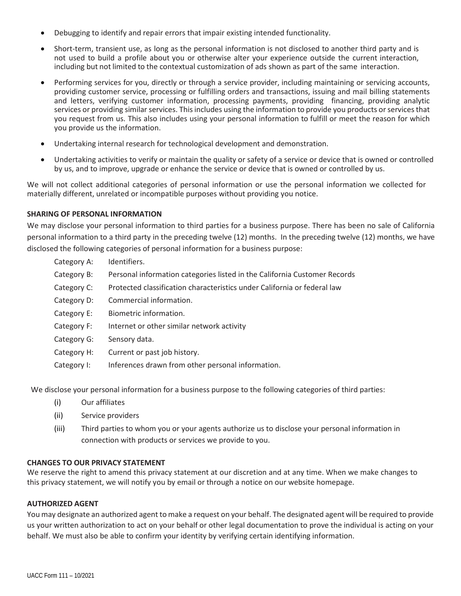- Debugging to identify and repair errors that impair existing intended functionality.
- Short-term, transient use, as long as the personal information is not disclosed to another third party and is not used to build a profile about you or otherwise alter your experience outside the current interaction, including but not limited to the contextual customization of ads shown as part of the same interaction.
- Performing services for you, directly or through a service provider, including maintaining or servicing accounts, providing customer service, processing or fulfilling orders and transactions, issuing and mail billing statements and letters, verifying customer information, processing payments, providing financing, providing analytic services or providing similar services. This includes using the information to provide you products or services that you request from us. This also includes using your personal information to fulfill or meet the reason for which you provide us the information.
- Undertaking internal research for technological development and demonstration.
- Undertaking activities to verify or maintain the quality or safety of a service or device that is owned or controlled by us, and to improve, upgrade or enhance the service or device that is owned or controlled by us.

We will not collect additional categories of personal information or use the personal information we collected for materially different, unrelated or incompatible purposes without providing you notice.

#### **SHARING OF PERSONAL INFORMATION**

We may disclose your personal information to third parties for a business purpose. There has been no sale of California personal information to a third party in the preceding twelve (12) months. In the preceding twelve (12) months, we have disclosed the following categories of personal information for a business purpose:

- Category A: Identifiers.
- Category B: Personal information categories listed in the California Customer Records
- Category C: Protected classification characteristics under California or federal law
- Category D: Commercial information.
- Category E: Biometric information.
- Category F: Internet or other similar network activity
- Category G: Sensory data.
- Category H: Current or past job history.
- Category I: Inferences drawn from other personal information.

We disclose your personal information for a business purpose to the following categories of third parties:

- (i) Our affiliates
- (ii) Service providers
- (iii) Third parties to whom you or your agents authorize us to disclose your personal information in connection with products or services we provide to you.

#### **CHANGES TO OUR PRIVACY STATEMENT**

We reserve the right to amend this privacy statement at our discretion and at any time. When we make changes to this privacy statement, we will notify you by email or through a notice on our website homepage.

#### **AUTHORIZED AGENT**

You may designate an authorized agent to make a request on your behalf. The designated agent will be required to provide us your written authorization to act on your behalf or other legal documentation to prove the individual is acting on your behalf. We must also be able to confirm your identity by verifying certain identifying information.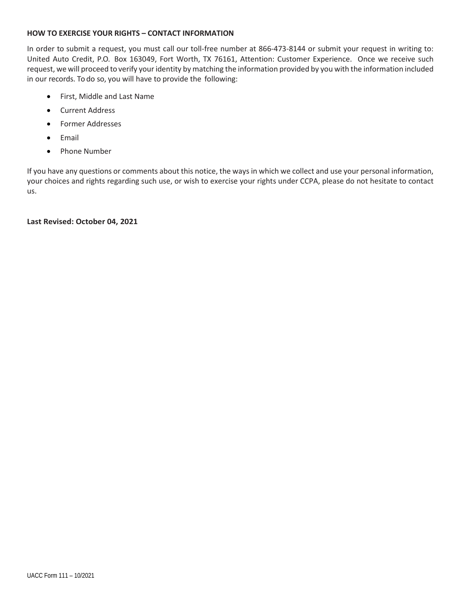# **HOW TO EXERCISE YOUR RIGHTS – CONTACT INFORMATION**

In order to submit a request, you must call our toll-free number at 866-473-8144 or submit your request in writing to: United Auto Credit, P.O. Box 163049, Fort Worth, TX 76161, Attention: Customer Experience. Once we receive such request, we will proceed to verify your identity by matching the information provided by you with the information included in our records. To do so, you will have to provide the following:

- First, Middle and Last Name
- Current Address
- Former Addresses
- Email
- Phone Number

If you have any questions or comments about this notice, the ways in which we collect and use your personal information, your choices and rights regarding such use, or wish to exercise your rights under CCPA, please do not hesitate to contact us.

# **Last Revised: October 04, 2021**